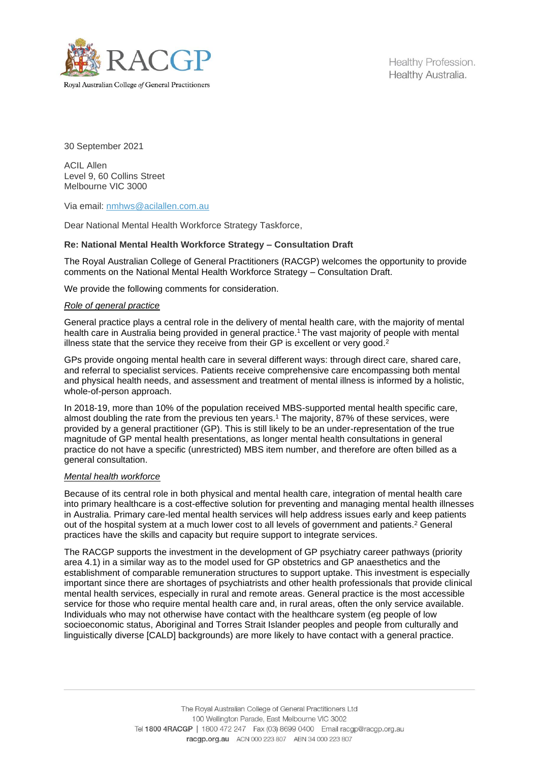

30 September 2021

ACIL Allen Level 9, 60 Collins Street Melbourne VIC 3000

Via email: [nmhws@acilallen.com.au](mailto:nmhws@acilallen.com.au)

Dear National Mental Health Workforce Strategy Taskforce,

## **Re: National Mental Health Workforce Strategy – Consultation Draft**

The Royal Australian College of General Practitioners (RACGP) welcomes the opportunity to provide comments on the National Mental Health Workforce Strategy – Consultation Draft.

We provide the following comments for consideration.

### *Role of general practice*

General practice plays a central role in the delivery of mental health care, with the majority of mental health care in Australia being provided in general practice.<sup>1</sup> The vast majority of people with mental illness state that the service they receive from their GP is excellent or very good.<sup>2</sup>

GPs provide ongoing mental health care in several different ways: through direct care, shared care, and referral to specialist services. Patients receive comprehensive care encompassing both mental and physical health needs, and assessment and treatment of mental illness is informed by a holistic, whole-of-person approach.

In 2018-19, more than 10% of the population received MBS-supported mental health specific care, almost doubling the rate from the previous ten years.<sup>1</sup> The majority, 87% of these services, were provided by a general practitioner (GP). This is still likely to be an under-representation of the true magnitude of GP mental health presentations, as longer mental health consultations in general practice do not have a specific (unrestricted) MBS item number, and therefore are often billed as a general consultation.

### *Mental health workforce*

Because of its central role in both physical and mental health care, integration of mental health care into primary healthcare is a cost-effective solution for preventing and managing mental health illnesses in Australia. Primary care-led mental health services will help address issues early and keep patients out of the hospital system at a much lower cost to all levels of government and patients.<sup>2</sup> General practices have the skills and capacity but require support to integrate services.

The RACGP supports the investment in the development of GP psychiatry career pathways (priority area 4.1) in a similar way as to the model used for GP obstetrics and GP anaesthetics and the establishment of comparable remuneration structures to support uptake. This investment is especially important since there are shortages of psychiatrists and other health professionals that provide clinical mental health services, especially in rural and remote areas. General practice is the most accessible service for those who require mental health care and, in rural areas, often the only service available. Individuals who may not otherwise have contact with the healthcare system (eg people of low socioeconomic status, Aboriginal and Torres Strait Islander peoples and people from culturally and linguistically diverse [CALD] backgrounds) are more likely to have contact with a general practice.